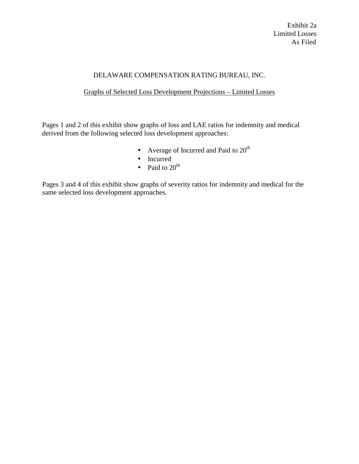## DELAWARE COMPENSATION RATING BUREAU, INC.

## Graphs of Selected Loss Development Projections – Limited Losses

Pages 1 and 2 of this exhibit show graphs of loss and LAE ratios for indemnity and medical derived from the following selected loss development approaches:

- Average of Incurred and Paid to  $20<sup>th</sup>$
- Incurred
- Paid to  $20<sup>th</sup>$

Pages 3 and 4 of this exhibit show graphs of severity ratios for indemnity and medical for the same selected loss development approaches.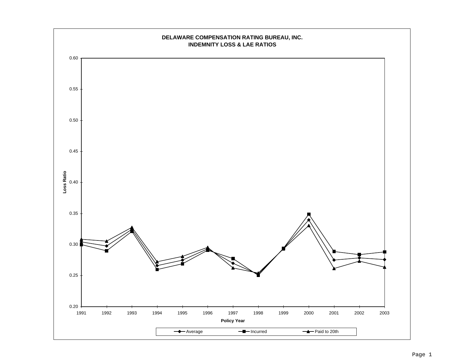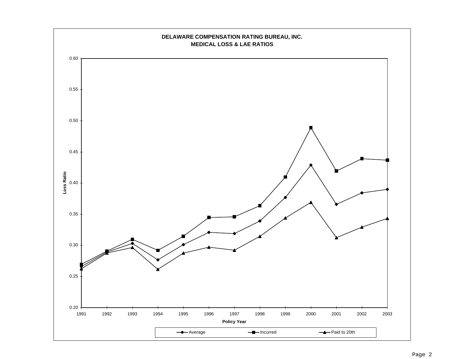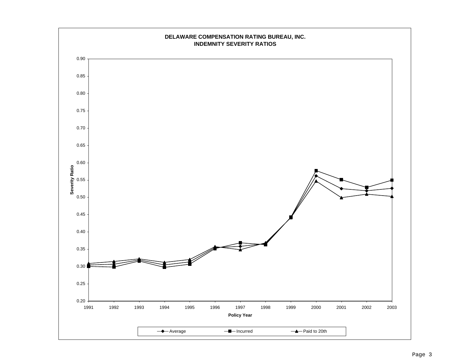